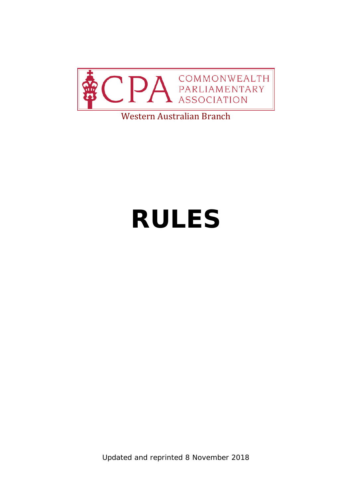

#### Western Australian Branch

# **RULES**

Updated and reprinted 8 November 2018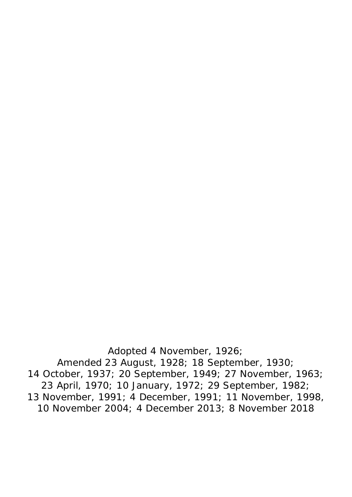Adopted 4 November, 1926; Amended 23 August, 1928; 18 September, 1930; 14 October, 1937; 20 September, 1949; 27 November, 1963; 23 April, 1970; 10 January, 1972; 29 September, 1982; 13 November, 1991; 4 December, 1991; 11 November, 1998, 10 November 2004; 4 December 2013; 8 November 2018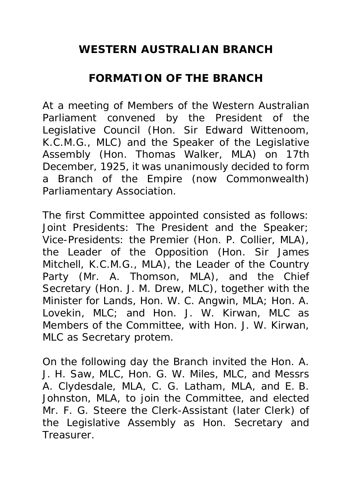# **WESTERN AUSTRALIAN BRANCH**

#### **FORMATION OF THE BRANCH**

At a meeting of Members of the Western Australian Parliament convened by the President of the Legislative Council (Hon. Sir Edward Wittenoom, K.C.M.G., MLC) and the Speaker of the Legislative Assembly (Hon. Thomas Walker, MLA) on 17th December, 1925, it was unanimously decided to form a Branch of the Empire (now Commonwealth) Parliamentary Association.

The first Committee appointed consisted as follows: Joint Presidents: The President and the Speaker; Vice-Presidents: the Premier (Hon. P. Collier, MLA), the Leader of the Opposition (Hon. Sir James Mitchell, K.C.M.G., MLA), the Leader of the Country Party (Mr. A. Thomson, MLA), and the Chief Secretary (Hon. J. M. Drew, MLC), together with the Minister for Lands, Hon. W. C. Angwin, MLA; Hon. A. Lovekin, MLC; and Hon. J. W. Kirwan, MLC as Members of the Committee, with Hon. J. W. Kirwan, MLC as Secretary *protem.*

On the following day the Branch invited the Hon. A. J. H. Saw, MLC, Hon. G. W. Miles, MLC, and Messrs A. Clydesdale, MLA, C. G. Latham, MLA, and E. B. Johnston, MLA, to join the Committee, and elected Mr. F. G. Steere the Clerk-Assistant (later Clerk) of the Legislative Assembly as Hon. Secretary and Treasurer.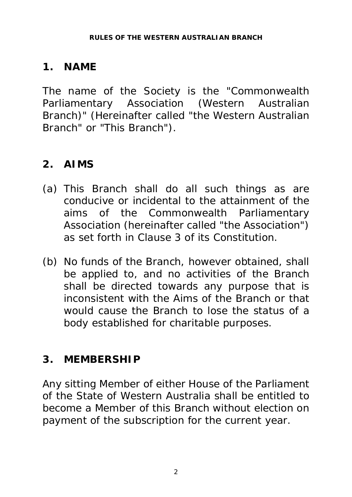# **1. NAME**

The name of the Society is the "Commonwealth Parliamentary Association (Western Australian Branch)" (Hereinafter called "the Western Australian Branch" or "This Branch").

# **2. AIMS**

- (a) This Branch shall do all such things as are conducive or incidental to the attainment of the aims of the Commonwealth Parliamentary Association (hereinafter called "the Association") as set forth in Clause 3 of its Constitution.
- (b) No funds of the Branch, however obtained, shall be applied to, and no activities of the Branch shall be directed towards any purpose that is inconsistent with the Aims of the Branch or that would cause the Branch to lose the status of a body established for charitable purposes.

# **3. MEMBERSHIP**

Any sitting Member of either House of the Parliament of the State of Western Australia shall be entitled to become a Member of this Branch without election on payment of the subscription for the current year.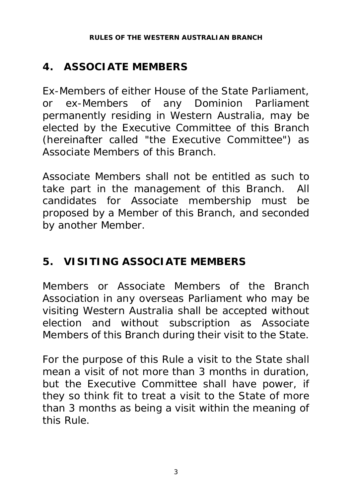# **4. ASSOCIATE MEMBERS**

Ex-Members of either House of the State Parliament, or ex-Members of any Dominion Parliament permanently residing in Western Australia, may be elected by the Executive Committee of this Branch (hereinafter called "the Executive Committee") as Associate Members of this Branch.

Associate Members shall not be entitled as such to take part in the management of this Branch. All candidates for Associate membership must be proposed by a Member of this Branch, and seconded by another Member.

# **5. VISITING ASSOCIATE MEMBERS**

Members or Associate Members of the Branch Association in any overseas Parliament who may be visiting Western Australia shall be accepted without election and without subscription as Associate Members of this Branch during their visit to the State.

For the purpose of this Rule a visit to the State shall mean a visit of not more than 3 months in duration, but the Executive Committee shall have power, if they so think fit to treat a visit to the State of more than 3 months as being a visit within the meaning of this Rule.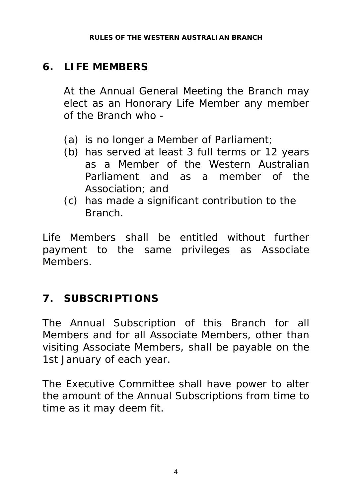# **6. LIFE MEMBERS**

At the Annual General Meeting the Branch may elect as an Honorary Life Member any member of the Branch who -

- (a) is no longer a Member of Parliament;
- (b) has served at least 3 full terms or 12 years as a Member of the Western Australian Parliament and as a member of the Association; and
- (c) has made a significant contribution to the Branch.

Life Members shall be entitled without further payment to the same privileges as Associate Members.

# **7. SUBSCRIPTIONS**

The Annual Subscription of this Branch for all Members and for all Associate Members, other than visiting Associate Members, shall be payable on the 1st January of each year.

The Executive Committee shall have power to alter the amount of the Annual Subscriptions from time to time as it may deem fit.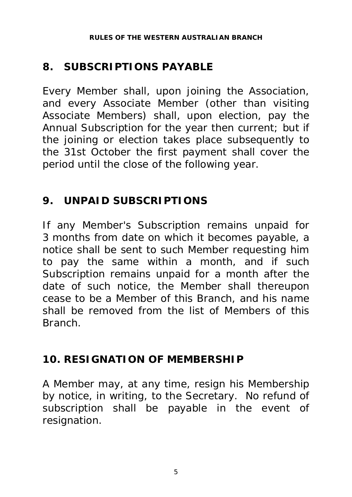# **8. SUBSCRIPTIONS PAYABLE**

Every Member shall, upon joining the Association, and every Associate Member (other than visiting Associate Members) shall, upon election, pay the Annual Subscription for the year then current; but if the joining or election takes place subsequently to the 31st October the first payment shall cover the period until the close of the following year.

# **9. UNPAID SUBSCRIPTIONS**

If any Member's Subscription remains unpaid for 3 months from date on which it becomes payable, a notice shall be sent to such Member requesting him to pay the same within a month, and if such Subscription remains unpaid for a month after the date of such notice, the Member shall thereupon cease to be a Member of this Branch, and his name shall be removed from the list of Members of this Branch.

# **10. RESIGNATION OF MEMBERSHIP**

A Member may, at any time, resign his Membership by notice, in writing, to the Secretary. No refund of subscription shall be payable in the event of resignation.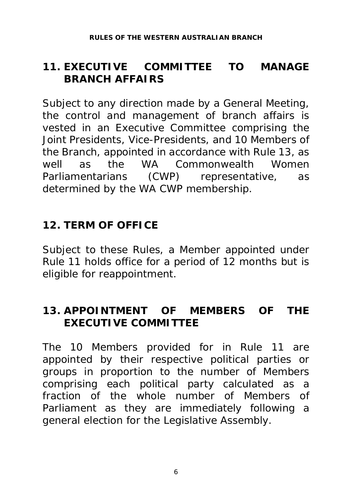#### **11. EXECUTIVE COMMITTEE TO MANAGE BRANCH AFFAIRS**

Subject to any direction made by a General Meeting, the control and management of branch affairs is vested in an Executive Committee comprising the Joint Presidents, Vice-Presidents, and 10 Members of the Branch, appointed in accordance with Rule 13, as well as the WA Commonwealth Women Parliamentarians (CWP) representative, as determined by the WA CWP membership.

# **12. TERM OF OFFICE**

Subject to these Rules, a Member appointed under Rule 11 holds office for a period of 12 months but is eligible for reappointment.

#### **13. APPOINTMENT OF MEMBERS OF THE EXECUTIVE COMMITTEE**

The 10 Members provided for in Rule 11 are appointed by their respective political parties or groups in proportion to the number of Members comprising each political party calculated as a fraction of the whole number of Members of Parliament as they are immediately following a general election for the Legislative Assembly.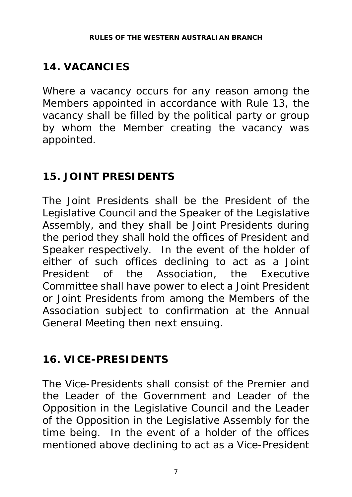# **14. VACANCIES**

Where a vacancy occurs for any reason among the Members appointed in accordance with Rule 13, the vacancy shall be filled by the political party or group by whom the Member creating the vacancy was appointed.

# **15. JOINT PRESIDENTS**

The Joint Presidents shall be the President of the Legislative Council and the Speaker of the Legislative Assembly, and they shall be Joint Presidents during the period they shall hold the offices of President and Speaker respectively. In the event of the holder of either of such offices declining to act as a Joint President of the Association, the Executive Committee shall have power to elect a Joint President or Joint Presidents from among the Members of the Association subject to confirmation at the Annual General Meeting then next ensuing.

# **16. VICE-PRESIDENTS**

The Vice-Presidents shall consist of the Premier and the Leader of the Government and Leader of the Opposition in the Legislative Council and the Leader of the Opposition in the Legislative Assembly for the time being. In the event of a holder of the offices mentioned above declining to act as a Vice-President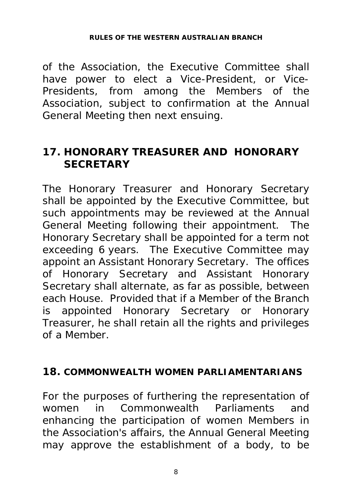of the Association, the Executive Committee shall have power to elect a Vice-President, or Vice-Presidents, from among the Members of the Association, subject to confirmation at the Annual General Meeting then next ensuing.

#### **17. HONORARY TREASURER AND HONORARY SECRETARY**

The Honorary Treasurer and Honorary Secretary shall be appointed by the Executive Committee, but such appointments may be reviewed at the Annual General Meeting following their appointment. The Honorary Secretary shall be appointed for a term not exceeding 6 years. The Executive Committee may appoint an Assistant Honorary Secretary. The offices of Honorary Secretary and Assistant Honorary Secretary shall alternate, as far as possible, between each House. Provided that if a Member of the Branch is appointed Honorary Secretary or Honorary Treasurer, he shall retain all the rights and privileges of a Member.

#### **18. COMMONWEALTH WOMEN PARLIAMENTARIANS**

For the purposes of furthering the representation of women in Commonwealth Parliaments and enhancing the participation of women Members in the Association's affairs, the Annual General Meeting may approve the establishment of a body, to be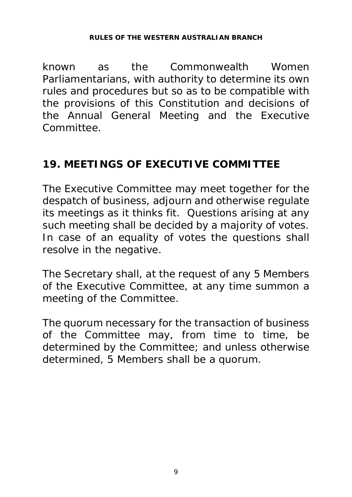#### **RULES OF THE WESTERN AUSTRALIAN BRANCH**

known as the Commonwealth Women Parliamentarians, with authority to determine its own rules and procedures but so as to be compatible with the provisions of this Constitution and decisions of the Annual General Meeting and the Executive Committee.

#### **19. MEETINGS OF EXECUTIVE COMMITTEE**

The Executive Committee may meet together for the despatch of business, adjourn and otherwise regulate its meetings as it thinks fit. Questions arising at any such meeting shall be decided by a majority of votes. In case of an equality of votes the questions shall resolve in the negative.

The Secretary shall, at the request of any 5 Members of the Executive Committee, at any time summon a meeting of the Committee.

The quorum necessary for the transaction of business of the Committee may, from time to time, be determined by the Committee; and unless otherwise determined, 5 Members shall be a quorum.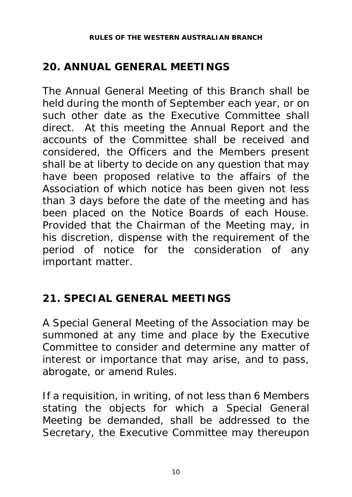# **20. ANNUAL GENERAL MEETINGS**

The Annual General Meeting of this Branch shall be held during the month of September each year, or on such other date as the Executive Committee shall direct. At this meeting the Annual Report and the accounts of the Committee shall be received and considered, the Officers and the Members present shall be at liberty to decide on any question that may have been proposed relative to the affairs of the Association of which notice has been given not less than 3 days before the date of the meeting and has been placed on the Notice Boards of each House. Provided that the Chairman of the Meeting may, in his discretion, dispense with the requirement of the period of notice for the consideration of any important matter.

# **21. SPECIAL GENERAL MEETINGS**

A Special General Meeting of the Association may be summoned at any time and place by the Executive Committee to consider and determine any matter of interest or importance that may arise, and to pass, abrogate, or amend Rules.

If a requisition, in writing, of not less than 6 Members stating the objects for which a Special General Meeting be demanded, shall be addressed to the Secretary, the Executive Committee may thereupon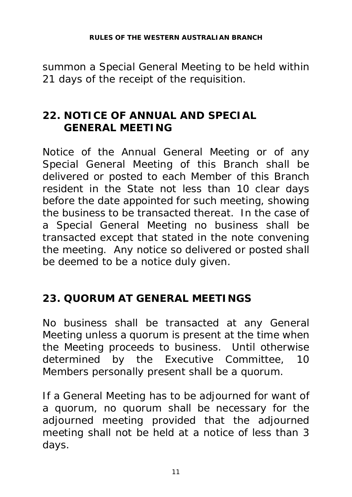#### **RULES OF THE WESTERN AUSTRALIAN BRANCH**

summon a Special General Meeting to be held within 21 days of the receipt of the requisition.

#### **22. NOTICE OF ANNUAL AND SPECIAL GENERAL MEETING**

Notice of the Annual General Meeting or of any Special General Meeting of this Branch shall be delivered or posted to each Member of this Branch resident in the State not less than 10 clear days before the date appointed for such meeting, showing the business to be transacted thereat. In the case of a Special General Meeting no business shall be transacted except that stated in the note convening the meeting. Any notice so delivered or posted shall be deemed to be a notice duly given.

#### **23. QUORUM AT GENERAL MEETINGS**

No business shall be transacted at any General Meeting unless a quorum is present at the time when the Meeting proceeds to business. Until otherwise determined by the Executive Committee, 10 Members personally present shall be a quorum.

If a General Meeting has to be adjourned for want of a quorum, no quorum shall be necessary for the adjourned meeting provided that the adjourned meeting shall not be held at a notice of less than 3 days.